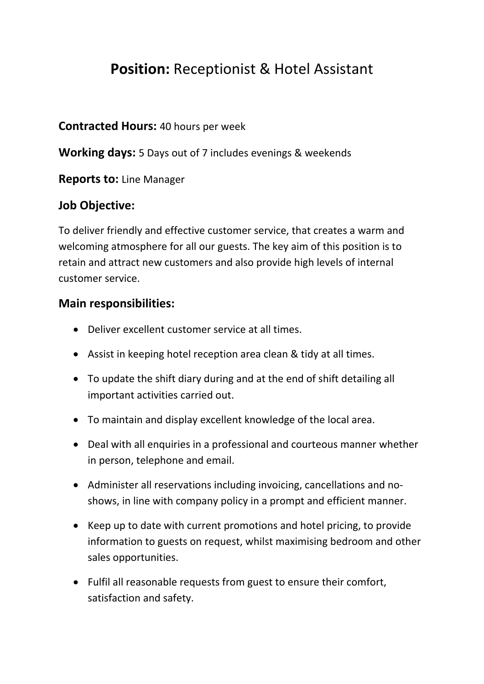# **Position:** Receptionist & Hotel Assistant

### **Contracted Hours:** 40 hours per week

**Working days:** 5 Days out of 7 includes evenings & weekends

## **Reports to:** Line Manager

# **Job Objective:**

To deliver friendly and effective customer service, that creates a warm and welcoming atmosphere for all our guests. The key aim of this position is to retain and attract new customers and also provide high levels of internal customer service.

## **Main responsibilities:**

- Deliver excellent customer service at all times.
- Assist in keeping hotel reception area clean & tidy at all times.
- To update the shift diary during and at the end of shift detailing all important activities carried out.
- To maintain and display excellent knowledge of the local area.
- Deal with all enquiries in a professional and courteous manner whether in person, telephone and email.
- Administer all reservations including invoicing, cancellations and noshows, in line with company policy in a prompt and efficient manner.
- Keep up to date with current promotions and hotel pricing, to provide information to guests on request, whilst maximising bedroom and other sales opportunities.
- Fulfil all reasonable requests from guest to ensure their comfort, satisfaction and safety.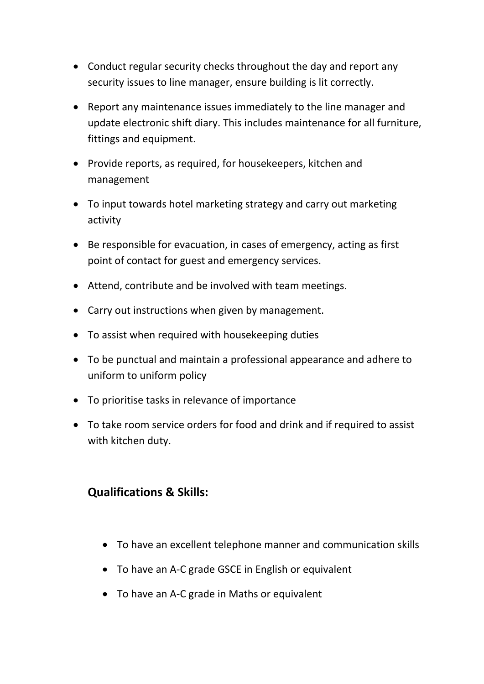- Conduct regular security checks throughout the day and report any security issues to line manager, ensure building is lit correctly.
- Report any maintenance issues immediately to the line manager and update electronic shift diary. This includes maintenance for all furniture, fittings and equipment.
- Provide reports, as required, for housekeepers, kitchen and management
- To input towards hotel marketing strategy and carry out marketing activity
- Be responsible for evacuation, in cases of emergency, acting as first point of contact for guest and emergency services.
- Attend, contribute and be involved with team meetings.
- Carry out instructions when given by management.
- To assist when required with housekeeping duties
- To be punctual and maintain a professional appearance and adhere to uniform to uniform policy
- To prioritise tasks in relevance of importance
- To take room service orders for food and drink and if required to assist with kitchen duty.

### **Qualifications & Skills:**

- To have an excellent telephone manner and communication skills
- To have an A‐C grade GSCE in English or equivalent
- To have an A‐C grade in Maths or equivalent